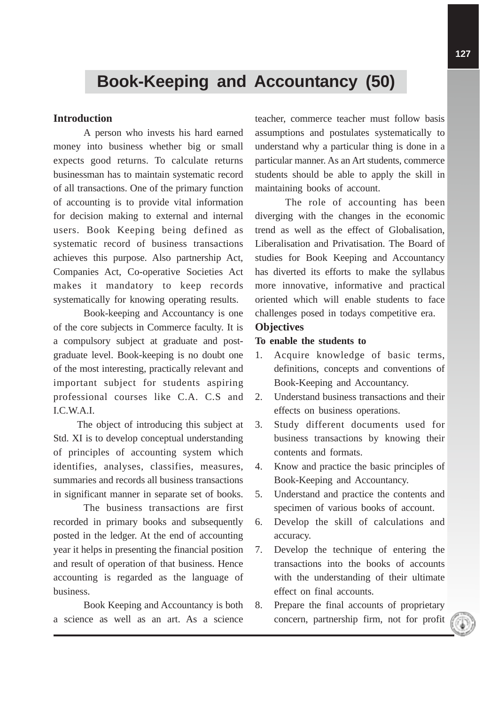# **Book-Keeping and Accountancy (50)**

# **Introduction**

A person who invests his hard earned money into business whether big or small expects good returns. To calculate returns businessman has to maintain systematic record of all transactions. One of the primary function of accounting is to provide vital information for decision making to external and internal users. Book Keeping being defined as systematic record of business transactions achieves this purpose. Also partnership Act, Companies Act, Co-operative Societies Act makes it mandatory to keep records systematically for knowing operating results.

Book-keeping and Accountancy is one of the core subjects in Commerce faculty. It is a compulsory subject at graduate and postgraduate level. Book-keeping is no doubt one of the most interesting, practically relevant and important subject for students aspiring professional courses like C.A. C.S and I.C.W.A.I.

The object of introducing this subject at Std. XI is to develop conceptual understanding of principles of accounting system which identifies, analyses, classifies, measures, summaries and records all business transactions in significant manner in separate set of books.

The business transactions are first recorded in primary books and subsequently posted in the ledger. At the end of accounting year it helps in presenting the financial position and result of operation of that business. Hence accounting is regarded as the language of business.

Book Keeping and Accountancy is both a science as well as an art. As a science

teacher, commerce teacher must follow basis assumptions and postulates systematically to understand why a particular thing is done in a particular manner. As an Art students, commerce students should be able to apply the skill in maintaining books of account.

The role of accounting has been diverging with the changes in the economic trend as well as the effect of Globalisation, Liberalisation and Privatisation. The Board of studies for Book Keeping and Accountancy has diverted its efforts to make the syllabus more innovative, informative and practical oriented which will enable students to face challenges posed in todays competitive era.

# **Objectives**

#### **To enable the students to**

- 1. Acquire knowledge of basic terms, definitions, concepts and conventions of Book-Keeping and Accountancy.
- 2. Understand business transactions and their effects on business operations.
- 3. Study different documents used for business transactions by knowing their contents and formats.
- 4. Know and practice the basic principles of Book-Keeping and Accountancy.
- 5. Understand and practice the contents and specimen of various books of account.
- 6. Develop the skill of calculations and accuracy.
- 7. Develop the technique of entering the transactions into the books of accounts with the understanding of their ultimate effect on final accounts.
- 8. Prepare the final accounts of proprietary concern, partnership firm, not for profit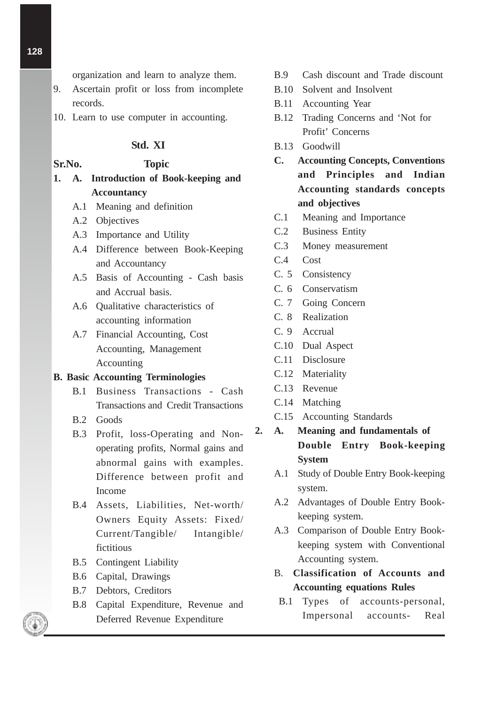organization and learn to analyze them.

- 9. Ascertain profit or loss from incomplete records.
- 10. Learn to use computer in accounting.

# **Std. XI**

# **Sr.No. Topic**

- **1. A. Introduction of Book-keeping and Accountancy**
	- A.1 Meaning and definition
	- A.2 Objectives
	- A.3 Importance and Utility
	- A.4 Difference between Book-Keeping and Accountancy
	- A.5 Basis of Accounting Cash basis and Accrual basis.
	- A.6 Qualitative characteristics of accounting information
	- A.7 Financial Accounting, Cost Accounting, Management Accounting

#### **B. Basic Accounting Terminologies**

- B.1 Business Transactions Cash Transactions and Credit Transactions
- B.2 Goods
- B.3 Profit, loss-Operating and Nonoperating profits, Normal gains and abnormal gains with examples. Difference between profit and Income
- B.4 Assets, Liabilities, Net-worth/ Owners Equity Assets: Fixed/ Current/Tangible/ Intangible/ fictitious
- B.5 Contingent Liability
- B.6 Capital, Drawings
- B.7 Debtors, Creditors
- B.8 Capital Expenditure, Revenue and Deferred Revenue Expenditure
- B.9 Cash discount and Trade discount
- B.10 Solvent and Insolvent
- B.11 Accounting Year
- B.12 Trading Concerns and 'Not for Profit' Concerns
- B.13 Goodwill
- **C. Accounting Concepts, Conventions and Principles and Indian Accounting standards concepts and objectives**
- C.1 Meaning and Importance
- C.2 Business Entity
- C.3 Money measurement
- C.4 Cost
- C. 5 Consistency
- C. 6 Conservatism
- C. 7 Going Concern
- C. 8 Realization
- C. 9 Accrual
- C.10 Dual Aspect
- C.11 Disclosure
- C.12 Materiality
- C.13 Revenue
- C.14 Matching
- C.15 Accounting Standards
- **2. A. Meaning and fundamentals of Double Entry Book-keeping System**
	- A.1 Study of Double Entry Book-keeping system.
	- A.2 Advantages of Double Entry Bookkeeping system.
	- A.3 Comparison of Double Entry Bookkeeping system with Conventional Accounting system.
	- B. **Classification of Accounts and Accounting equations Rules**
		- B.1 Types of accounts-personal, Impersonal accounts- Real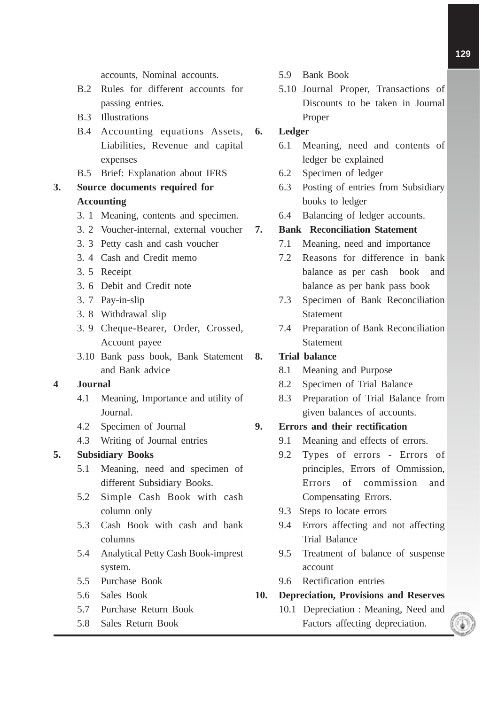accounts, Nominal accounts.

- B.2 Rules for different accounts for passing entries.
- B.3 Illustrations
- B.4 Accounting equations Assets, Liabilities, Revenue and capital expenses
- B.5 Brief: Explanation about IFRS

# **3. Source documents required for Accounting**

- 3. 1 Meaning, contents and specimen.
- 3. 2 Voucher-internal, external voucher
- 3. 3 Petty cash and cash voucher
- 3. 4 Cash and Credit memo
- 3. 5 Receipt
- 3. 6 Debit and Credit note
- 3. 7 Pay-in-slip
- 3. 8 Withdrawal slip
- 3. 9 Cheque-Bearer, Order, Crossed, Account payee
- 3.10 Bank pass book, Bank Statement and Bank advice

# **4 Journal**

- 4.1 Meaning, Importance and utility of Journal.
- 4.2 Specimen of Journal
- 4.3 Writing of Journal entries

# **5. Subsidiary Books**

- 5.1 Meaning, need and specimen of different Subsidiary Books.
- 5.2 Simple Cash Book with cash column only
- 5.3 Cash Book with cash and bank columns
- 5.4 Analytical Petty Cash Book-imprest system.
- 5.5 Purchase Book
- 5.6 Sales Book
- 5.7 Purchase Return Book
- 5.8 Sales Return Book
- 5.9 Bank Book
- 5.10 Journal Proper, Transactions of Discounts to be taken in Journal Proper

#### **6. Ledger**

- 6.1 Meaning, need and contents of ledger be explained
- 6.2 Specimen of ledger
- 6.3 Posting of entries from Subsidiary books to ledger
- 6.4 Balancing of ledger accounts.

# **7. Bank Reconciliation Statement**

- 7.1 Meaning, need and importance
- 7.2 Reasons for difference in bank balance as per cash book and balance as per bank pass book
- 7.3 Specimen of Bank Reconciliation Statement
- 7.4 Preparation of Bank Reconciliation **Statement**

#### **8. Trial balance**

- 8.1 Meaning and Purpose
- 8.2 Specimen of Trial Balance
- 8.3 Preparation of Trial Balance from given balances of accounts.

# **9. Errors and their rectification**

- 9.1 Meaning and effects of errors.
- 9.2 Types of errors Errors of principles, Errors of Ommission, Errors of commission and Compensating Errors.
- 9.3 Steps to locate errors
- 9.4 Errors affecting and not affecting Trial Balance
- 9.5 Treatment of balance of suspense account
- 9.6 Rectification entries

## **10. Depreciation, Provisions and Reserves**

10.1 Depreciation : Meaning, Need and Factors affecting depreciation.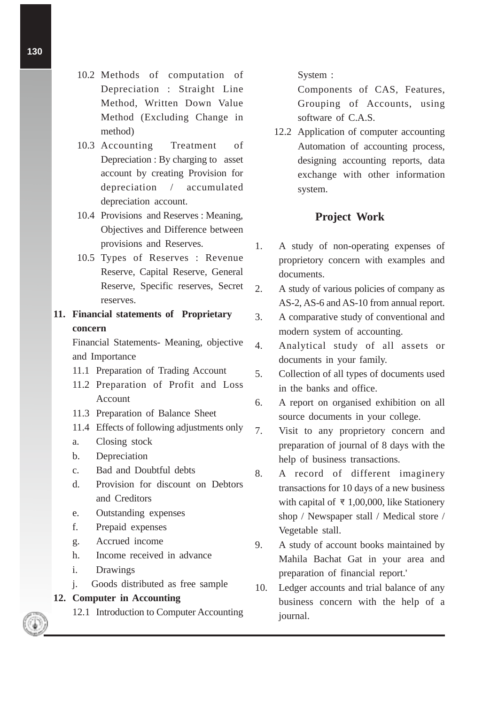- 10.2 Methods of computation of Depreciation : Straight Line Method, Written Down Value Method (Excluding Change in method)
- 10.3 Accounting Treatment of Depreciation : By charging to asset account by creating Provision for depreciation / accumulated depreciation account.
- 10.4 Provisions and Reserves : Meaning, Objectives and Difference between provisions and Reserves.
- 10.5 Types of Reserves : Revenue Reserve, Capital Reserve, General Reserve, Specific reserves, Secret reserves.

# **11. Financial statements of Proprietary concern**

Financial Statements- Meaning, objective and Importance

- 11.1 Preparation of Trading Account
- 11.2 Preparation of Profit and Loss Account
- 11.3 Preparation of Balance Sheet
- 11.4 Effects of following adjustments only
- a. Closing stock
- b. Depreciation
- c. Bad and Doubtful debts
- d. Provision for discount on Debtors and Creditors
- e. Outstanding expenses
- f. Prepaid expenses
- g. Accrued income
- h. Income received in advance
- i. Drawings
- j. Goods distributed as free sample

## **12. Computer in Accounting**

12.1 Introduction to Computer Accounting

#### System :

Components of CAS, Features, Grouping of Accounts, using software of C.A.S.

12.2 Application of computer accounting Automation of accounting process, designing accounting reports, data exchange with other information system.

# **Project Work**

- 1. A study of non-operating expenses of proprietory concern with examples and documents.
- 2. A study of various policies of company as AS-2, AS-6 and AS-10 from annual report.
- 3. A comparative study of conventional and modern system of accounting.
- 4. Analytical study of all assets or documents in your family.
- 5. Collection of all types of documents used in the banks and office.
- 6. A report on organised exhibition on all source documents in your college.
- 7. Visit to any proprietory concern and preparation of journal of 8 days with the help of business transactions.
- 8. A record of different imaginery transactions for 10 days of a new business with capital of  $\overline{z}$  1,00,000, like Stationery shop / Newspaper stall / Medical store / Vegetable stall.
- 9. A study of account books maintained by Mahila Bachat Gat in your area and preparation of financial report.'
- 10. Ledger accounts and trial balance of any business concern with the help of a journal.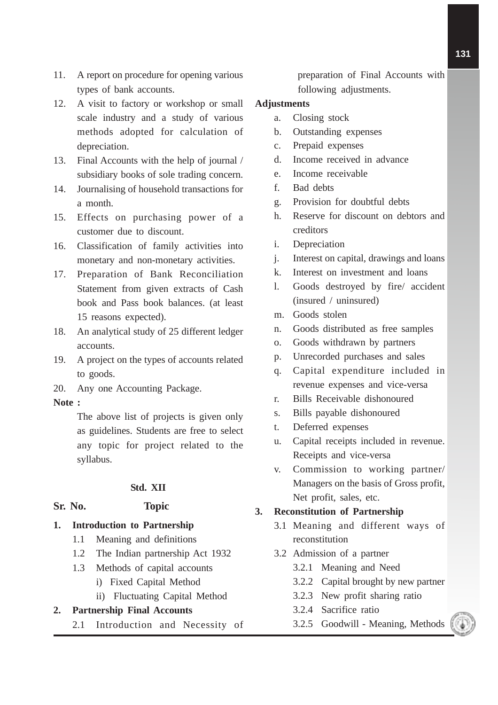- 11. A report on procedure for opening various types of bank accounts.
- 12. A visit to factory or workshop or small scale industry and a study of various methods adopted for calculation of depreciation.
- 13. Final Accounts with the help of journal / subsidiary books of sole trading concern.
- 14. Journalising of household transactions for a month.
- 15. Effects on purchasing power of a customer due to discount.
- 16. Classification of family activities into monetary and non-monetary activities.
- 17. Preparation of Bank Reconciliation Statement from given extracts of Cash book and Pass book balances. (at least 15 reasons expected).
- 18. An analytical study of 25 different ledger accounts.
- 19. A project on the types of accounts related to goods.
- 20. Any one Accounting Package.

#### **Note :**

The above list of projects is given only as guidelines. Students are free to select any topic for project related to the syllabus.

# **Std. XII**

# **Sr. No. Topic**

- **1. Introduction to Partnership**
	- 1.1 Meaning and definitions
	- 1.2 The Indian partnership Act 1932
	- 1.3 Methods of capital accounts
		- i) Fixed Capital Method
		- ii) Fluctuating Capital Method

# **2. Partnership Final Accounts**

2.1 Introduction and Necessity of

preparation of Final Accounts with following adjustments.

# **Adjustments**

- a. Closing stock
- b. Outstanding expenses
- c. Prepaid expenses
- d. Income received in advance
- e. Income receivable
- f. Bad debts
- g. Provision for doubtful debts
- h. Reserve for discount on debtors and creditors
- i. Depreciation
- j. Interest on capital, drawings and loans
- k. Interest on investment and loans
- l. Goods destroyed by fire/ accident (insured / uninsured)
- m. Goods stolen
- n. Goods distributed as free samples
- o. Goods withdrawn by partners
- p. Unrecorded purchases and sales
- q. Capital expenditure included in revenue expenses and vice-versa
- r. Bills Receivable dishonoured
- s. Bills payable dishonoured
- t. Deferred expenses
- u. Capital receipts included in revenue. Receipts and vice-versa
- v. Commission to working partner/ Managers on the basis of Gross profit, Net profit, sales, etc.

# **3. Reconstitution of Partnership**

- 3.1 Meaning and different ways of reconstitution
- 3.2 Admission of a partner
	- 3.2.1 Meaning and Need
	- 3.2.2 Capital brought by new partner
	- 3.2.3 New profit sharing ratio
	- 3.2.4 Sacrifice ratio
	- 3.2.5 Goodwill Meaning, Methods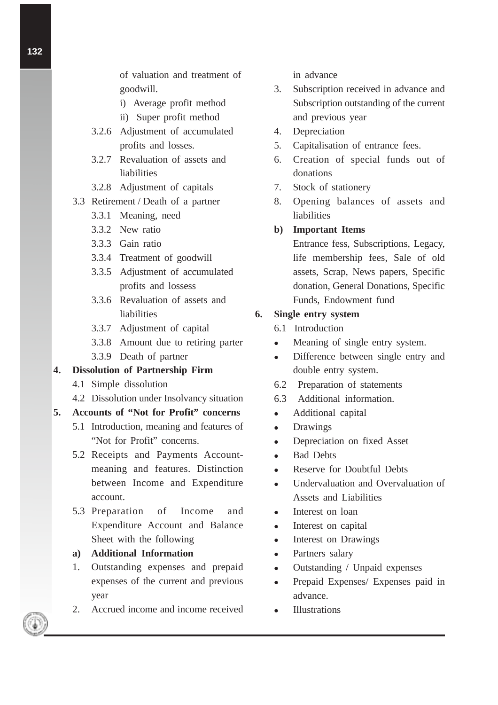of valuation and treatment of goodwill.

- i) Average profit method
- ii) Super profit method
- 3.2.6 Adjustment of accumulated profits and losses.
- 3.2.7 Revaluation of assets and liabilities
- 3.2.8 Adjustment of capitals
- 3.3 Retirement / Death of a partner
	- 3.3.1 Meaning, need
	- 3.3.2 New ratio
	- 3.3.3 Gain ratio
	- 3.3.4 Treatment of goodwill
	- 3.3.5 Adjustment of accumulated profits and lossess
	- 3.3.6 Revaluation of assets and liabilities
	- 3.3.7 Adjustment of capital
	- 3.3.8 Amount due to retiring parter
	- 3.3.9 Death of partner

### **4. Dissolution of Partnership Firm**

- 4.1 Simple dissolution
- 4.2 Dissolution under Insolvancy situation

# **5. Accounts of "Not for Profit" concerns**

- 5.1 Introduction, meaning and features of "Not for Profit" concerns.
- 5.2 Receipts and Payments Accountmeaning and features. Distinction between Income and Expenditure account.
- 5.3 Preparation of Income and Expenditure Account and Balance Sheet with the following

#### **a) Additional Information**

- 1. Outstanding expenses and prepaid expenses of the current and previous year
- 2. Accrued income and income received

in advance

- 3. Subscription received in advance and Subscription outstanding of the current and previous year
- 4. Depreciation
- 5. Capitalisation of entrance fees.
- 6. Creation of special funds out of donations
- 7. Stock of stationery
- 8. Opening balances of assets and liabilities

# **b) Important Items**

Entrance fess, Subscriptions, Legacy, life membership fees, Sale of old assets, Scrap, News papers, Specific donation, General Donations, Specific Funds, Endowment fund

# **6. Single entry system**

- 6.1 Introduction
- Meaning of single entry system.
- Difference between single entry and double entry system.
- 6.2 Preparation of statements
- 6.3 Additional information.
- Additional capital
- Drawings
- Depreciation on fixed Asset
- Bad Debts
- Reserve for Doubtful Debts
- Undervaluation and Overvaluation of Assets and Liabilities
- Interest on loan
- Interest on capital
- Interest on Drawings
- Partners salary
- Outstanding / Unpaid expenses
- Prepaid Expenses/ Expenses paid in advance.
- Illustrations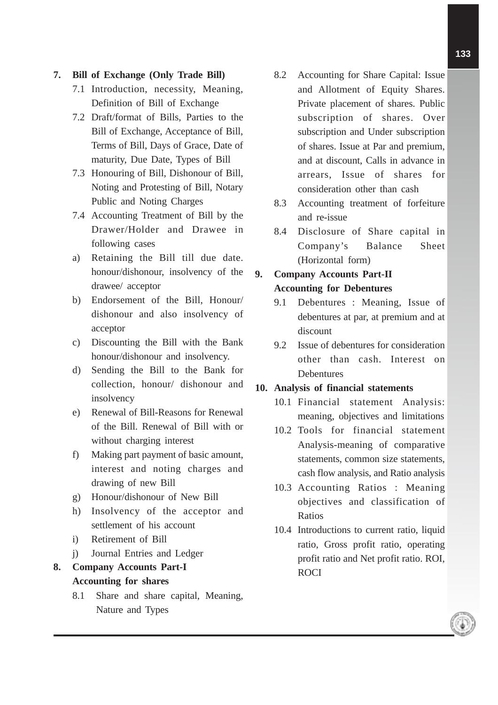# **7. Bill of Exchange (Only Trade Bill)**

- 7.1 Introduction, necessity, Meaning, Definition of Bill of Exchange
- 7.2 Draft/format of Bills, Parties to the Bill of Exchange, Acceptance of Bill, Terms of Bill, Days of Grace, Date of maturity, Due Date, Types of Bill
- 7.3 Honouring of Bill, Dishonour of Bill, Noting and Protesting of Bill, Notary Public and Noting Charges
- 7.4 Accounting Treatment of Bill by the Drawer/Holder and Drawee in following cases
- a) Retaining the Bill till due date. honour/dishonour, insolvency of the drawee/ acceptor
- b) Endorsement of the Bill, Honour/ dishonour and also insolvency of acceptor
- c) Discounting the Bill with the Bank honour/dishonour and insolvency.
- d) Sending the Bill to the Bank for collection, honour/ dishonour and insolvency
- e) Renewal of Bill-Reasons for Renewal of the Bill. Renewal of Bill with or without charging interest
- f) Making part payment of basic amount, interest and noting charges and drawing of new Bill
- g) Honour/dishonour of New Bill
- h) Insolvency of the acceptor and settlement of his account
- i) Retirement of Bill
- j) Journal Entries and Ledger
- **8. Company Accounts Part-I Accounting for shares**
	- 8.1 Share and share capital, Meaning, Nature and Types
- 8.2 Accounting for Share Capital: Issue and Allotment of Equity Shares. Private placement of shares. Public subscription of shares. Over subscription and Under subscription of shares. Issue at Par and premium, and at discount, Calls in advance in arrears, Issue of shares for consideration other than cash
- 8.3 Accounting treatment of forfeiture and re-issue
- 8.4 Disclosure of Share capital in Company's Balance Sheet (Horizontal form)

# **9. Company Accounts Part-II Accounting for Debentures**

- 9.1 Debentures : Meaning, Issue of debentures at par, at premium and at discount
- 9.2 Issue of debentures for consideration other than cash. Interest on Debentures

# **10. Analysis of financial statements**

- 10.1 Financial statement Analysis: meaning, objectives and limitations
- 10.2 Tools for financial statement Analysis-meaning of comparative statements, common size statements, cash flow analysis, and Ratio analysis
- 10.3 Accounting Ratios : Meaning objectives and classification of Ratios
- 10.4 Introductions to current ratio, liquid ratio, Gross profit ratio, operating profit ratio and Net profit ratio. ROI, ROCI